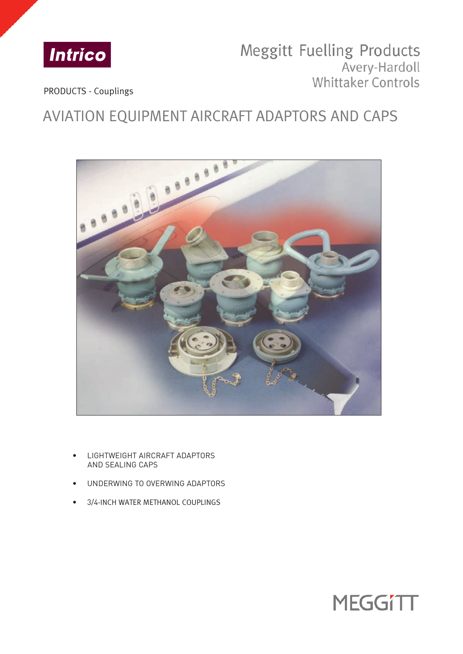

## Meggitt Fuelling Products Avery-Hardoll Whittaker Controls

PRODUCTS - Couplings

# AVIATION EQUIPMENT AIRCRAFT ADAPTORS AND CAPS



- LIGHTWEIGHT AIRCRAFT ADAPTORS AND SEALING CAPS
- UNDERWING TO OVERWING ADAPTORS
- 3/4-INCH WATER METHANOL COUPLINGS

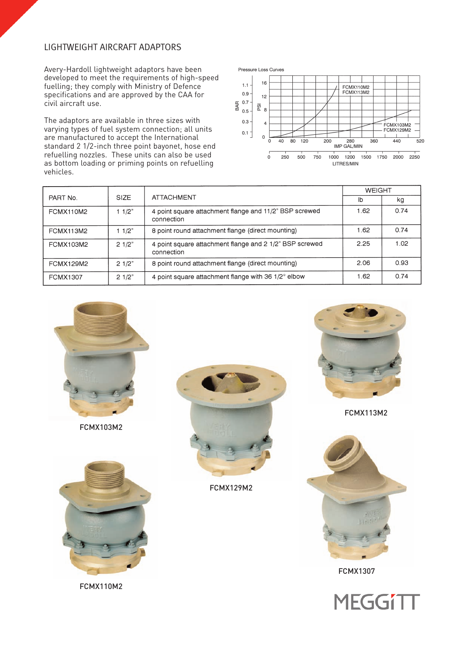## LIGHTWEIGHT AIRCRAFT ADAPTORS

Avery-Hardoll lightweight adaptors have been developed to meet the requirements of high-speed fuelling; they comply with Ministry of Defence specifications and are approved by the CAA for civil aircraft use.

The adaptors are available in three sizes with varying types of fuel system connection; all units are manufactured to accept the International standard 2 1/2-inch three point bayonet, hose end refuelling nozzles. These units can also be used as bottom loading or priming points on refuelling vehicles.



|                  |             |                                                                       | <b>WEIGHT</b> |      |
|------------------|-------------|-----------------------------------------------------------------------|---------------|------|
| PART No.         | <b>SIZE</b> | <b>ATTACHMENT</b>                                                     | lb            | kg   |
| FCMX110M2        | 11/2"       | 4 point square attachment flange and 11/2" BSP screwed<br>connection  | 1.62          | 0.74 |
| <b>FCMX113M2</b> | 11/2"       | 8 point round attachment flange (direct mounting)                     | 1.62          | 0.74 |
| FCMX103M2        | 21/2"       | 4 point square attachment flange and 2 1/2" BSP screwed<br>connection | 2.25          | 1.02 |
| <b>FCMX129M2</b> | 21/2"       | 8 point round attachment flange (direct mounting)                     | 2.06          | 0.93 |
| <b>FCMX1307</b>  | 21/2"       | 4 point square attachment flange with 36 1/2° elbow                   | 1.62          | 0.74 |



FCMX103M2







FCMX113M2



FCMX1307



FCMX110M2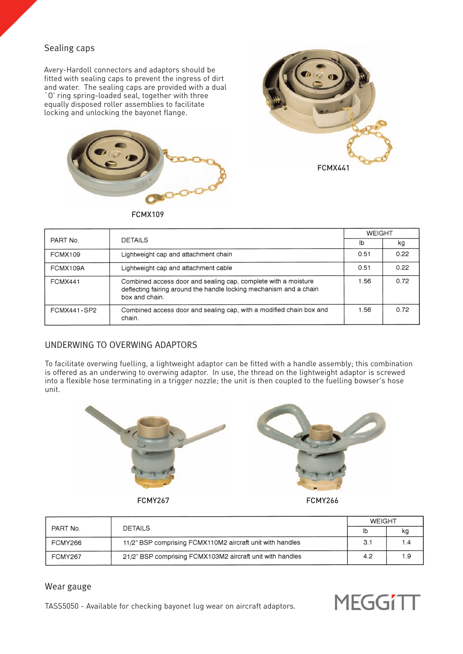## Sealing caps

Avery-Hardoll connectors and adaptors should be fitted with sealing caps to prevent the ingress of dirt and water. The sealing caps are provided with a dual `O' ring spring-loaded seal, together with three equally disposed roller assemblies to facilitate locking and unlocking the bayonet flange.





FCMX109

|                    |                                                                                                                                                        | <b>WEIGHT</b> |      |
|--------------------|--------------------------------------------------------------------------------------------------------------------------------------------------------|---------------|------|
| PART No.           | <b>DETAILS</b>                                                                                                                                         | lb            | kg   |
| <b>FCMX109</b>     | Lightweight cap and attachment chain                                                                                                                   | 0.51          | 0.22 |
| FCMX109A           | Lightweight cap and attachment cable                                                                                                                   | 0.51          | 0.22 |
| <b>FCMX441</b>     | Combined access door and sealing cap, complete with a moisture<br>deflecting fairing around the handle locking mechanism and a chain<br>box and chain. | 1.56          | 0.72 |
| <b>FCMX441-SP2</b> | Combined access door and sealing cap, with a modified chain box and<br>chain.                                                                          | 1.56          | 0.72 |

## UNDERWING TO OVERWING ADAPTORS

To facilitate overwing fuelling, a lightweight adaptor can be fitted with a handle assembly; this combination is offered as an underwing to overwing adaptor. In use, the thread on the lightweight adaptor is screwed into a flexible hose terminating in a trigger nozzle; the unit is then coupled to the fuelling bowser's hose unit.





FCMY267 FCMY266

|                |                                                           | <b>WFIGHT</b> |     |
|----------------|-----------------------------------------------------------|---------------|-----|
| PART No.       | <b>DETAILS</b>                                            | lb            | ĸq  |
| FCMY266        | 11/2" BSP comprising FCMX110M2 aircraft unit with handles | 3.1           | 1.4 |
| <b>FCMY267</b> | 21/2" BSP comprising FCMX103M2 aircraft unit with handles | 4.2           | 1.9 |

### Wear gauge

TASS5050 - Available for checking bayonet lug wear on aircraft adaptors.